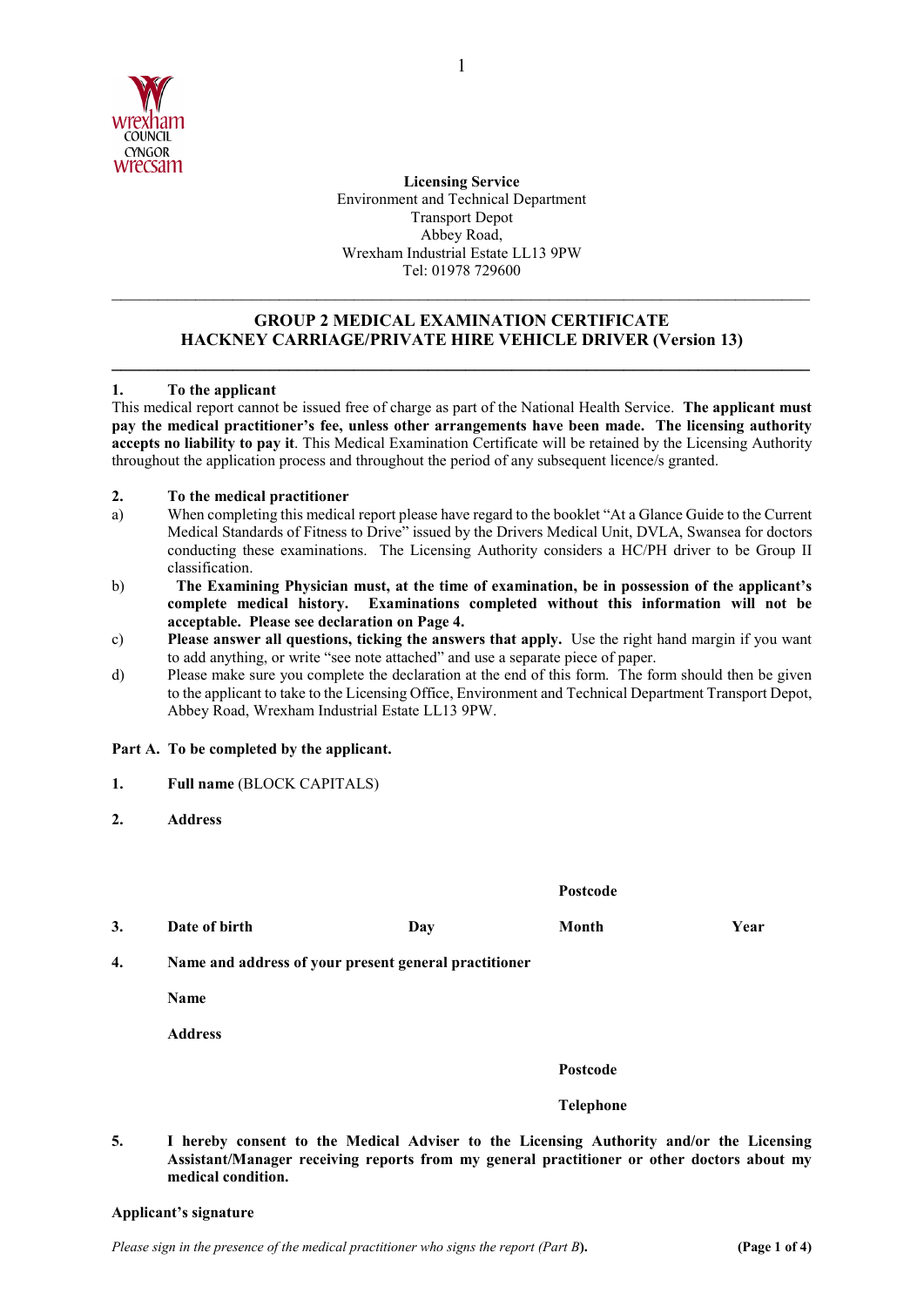

 Wrexham Industrial Estate LL13 9PW **Licensing Service**  Environment and Technical Department Transport Depot Abbey Road, Tel: 01978 729600

# **GROUP 2 MEDICAL EXAMINATION CERTIFICATE HACKNEY CARRIAGE/PRIVATE HIRE VEHICLE DRIVER (Version 13)**

**\_\_\_\_\_\_\_\_\_\_\_\_\_\_\_\_\_\_\_\_\_\_\_\_\_\_\_\_\_\_\_\_\_\_\_\_\_\_\_\_\_\_\_\_\_\_\_\_\_\_\_\_\_\_\_\_\_\_\_\_\_\_\_\_\_\_\_\_\_\_\_\_\_\_\_** 

\_\_\_\_\_\_\_\_\_\_\_\_\_\_\_\_\_\_\_\_\_\_\_\_\_\_\_\_\_\_\_\_\_\_\_\_\_\_\_\_\_\_\_\_\_\_\_\_\_\_\_\_\_\_\_\_\_\_\_\_\_\_\_\_\_\_\_\_\_\_\_\_\_\_\_

## **1. To the applicant**

 This medical report cannot be issued free of charge as part of the National Health Service. **The applicant must pay the medical practitioner's fee, unless other arrangements have been made. The licensing authority accepts no liability to pay it**. This Medical Examination Certificate will be retained by the Licensing Authority throughout the application process and throughout the period of any subsequent licence/s granted.

### **2. To the medical practitioner**

- conducting these examinations. The Licensing Authority considers a HC/PH driver to be Group II a) When completing this medical report please have regard to the booklet "At a Glance Guide to the Current Medical Standards of Fitness to Drive" issued by the Drivers Medical Unit, DVLA, Swansea for doctors classification.
- **complete medical history. Examinations completed without this information will not be**  b) **The Examining Physician must, at the time of examination, be in possession of the applicant's acceptable. Please see declaration on Page 4.**
- c) **Please answer all questions, ticking the answers that apply.** Use the right hand margin if you want to add anything, or write "see note attached" and use a separate piece of paper.
- d) Please make sure you complete the declaration at the end of this form. The form should then be given to the applicant to take to the Licensing Office, Environment and Technical Department Transport Depot, Abbey Road, Wrexham Industrial Estate LL13 9PW.

### **Part A. To be completed by the applicant.**

- **1. Full name** (BLOCK CAPITALS)
- **Address**

| 2. | <b>Address</b>                                        |            |                  |      |  |  |
|----|-------------------------------------------------------|------------|------------------|------|--|--|
|    |                                                       |            | Postcode         |      |  |  |
| 3. | Date of birth                                         | <b>Day</b> | Month            | Year |  |  |
| 4. | Name and address of your present general practitioner |            |                  |      |  |  |
|    | Name                                                  |            |                  |      |  |  |
|    | <b>Address</b>                                        |            |                  |      |  |  |
|    |                                                       |            | Postcode         |      |  |  |
|    |                                                       |            | <b>Telephone</b> |      |  |  |

 **Assistant/Manager receiving reports from my general practitioner or other doctors about my 5. I hereby consent to the Medical Adviser to the Licensing Authority and/or the Licensing medical condition.** 

### **Applicant's signature**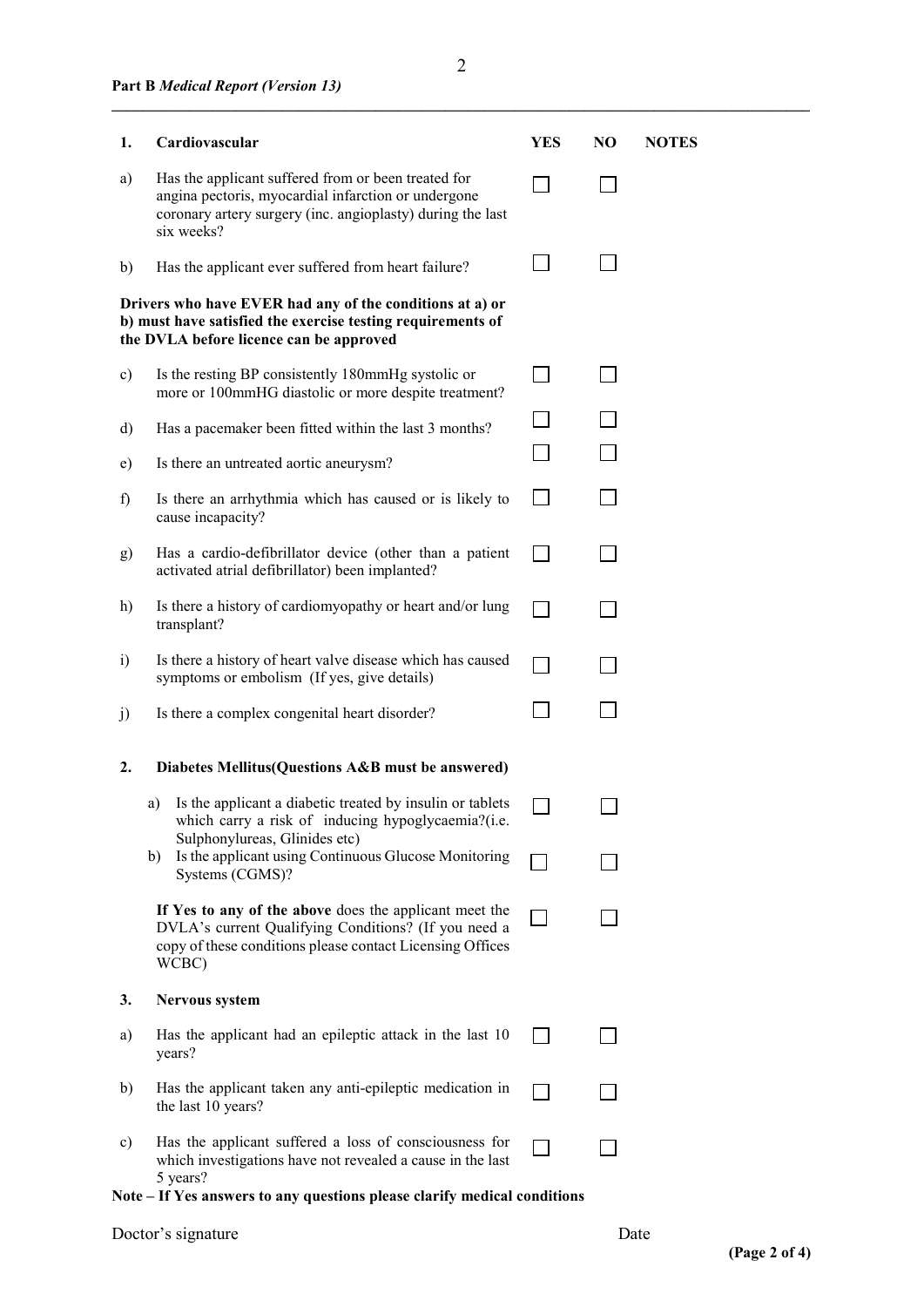| 1.            | Cardiovascular                                                                                                                                                                         | <b>YES</b> | NO | <b>NOTES</b> |
|---------------|----------------------------------------------------------------------------------------------------------------------------------------------------------------------------------------|------------|----|--------------|
| a)            | Has the applicant suffered from or been treated for<br>angina pectoris, myocardial infarction or undergone<br>coronary artery surgery (inc. angioplasty) during the last<br>six weeks? |            |    |              |
| b)            | Has the applicant ever suffered from heart failure?                                                                                                                                    |            |    |              |
|               | Drivers who have EVER had any of the conditions at a) or<br>b) must have satisfied the exercise testing requirements of<br>the DVLA before licence can be approved                     |            |    |              |
| $\mathbf{c})$ | Is the resting BP consistently 180mmHg systolic or<br>more or 100mmHG diastolic or more despite treatment?                                                                             |            |    |              |
| d)            | Has a pacemaker been fitted within the last 3 months?                                                                                                                                  |            |    |              |
| e)            | Is there an untreated aortic aneurysm?                                                                                                                                                 |            |    |              |
| f             | Is there an arrhythmia which has caused or is likely to<br>cause incapacity?                                                                                                           |            |    |              |
| g)            | Has a cardio-defibrillator device (other than a patient<br>activated atrial defibrillator) been implanted?                                                                             |            |    |              |
| h)            | Is there a history of cardiomyopathy or heart and/or lung<br>transplant?                                                                                                               |            |    |              |
| $\ddot{1}$    | Is there a history of heart valve disease which has caused<br>symptoms or embolism (If yes, give details)                                                                              |            |    |              |
| j)            | Is there a complex congenital heart disorder?                                                                                                                                          |            |    |              |
| 2.            | Diabetes Mellitus(Questions A&B must be answered)                                                                                                                                      |            |    |              |
|               | Is the applicant a diabetic treated by insulin or tablets<br>a)<br>which carry a risk of inducing hypoglycaemia?(i.e.                                                                  |            |    |              |
|               | Sulphonylureas, Glinides etc)<br>Is the applicant using Continuous Glucose Monitoring<br>b)<br>Systems (CGMS)?                                                                         |            |    |              |
|               | If Yes to any of the above does the applicant meet the<br>DVLA's current Qualifying Conditions? (If you need a<br>copy of these conditions please contact Licensing Offices<br>WCBC)   |            |    |              |
| 3.            | <b>Nervous system</b>                                                                                                                                                                  |            |    |              |
| a)            | Has the applicant had an epileptic attack in the last 10<br>years?                                                                                                                     |            |    |              |
| $\mathbf{b}$  | Has the applicant taken any anti-epileptic medication in<br>the last 10 years?                                                                                                         |            |    |              |
| c)            | Has the applicant suffered a loss of consciousness for<br>which investigations have not revealed a cause in the last<br>5 years?                                                       |            |    |              |

**Note – If Yes answers to any questions please clarify medical conditions** 

**\_\_\_\_\_\_\_\_\_\_\_\_\_\_\_\_\_\_\_\_\_\_\_\_\_\_\_\_\_\_\_\_\_\_\_\_\_\_\_\_\_\_\_\_\_\_\_\_\_\_\_\_\_\_\_\_\_\_\_\_\_\_\_\_\_\_\_\_\_\_\_\_\_\_\_\_\_\_\_\_\_\_\_\_\_\_\_\_\_\_**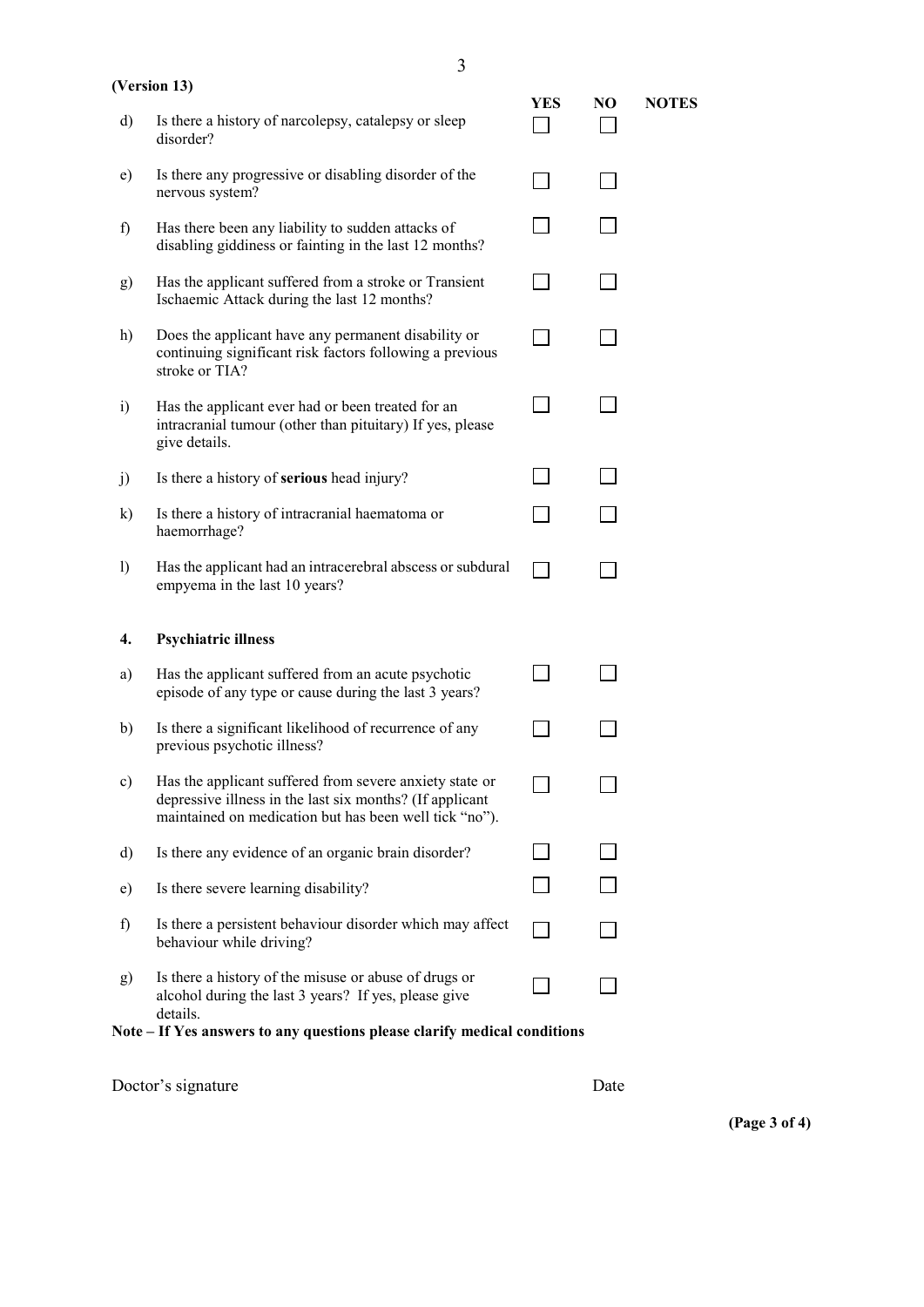#### **(Version 13)**

**YES NO NOTES** 

 $\Box$ 

 $\Box$ 

 $\Box$ 

 $\Box$ 

 $\Box$ 

 $\Box$ 

 $\Box$ 

 $\Box$ 

 $\Box$ 

 $\Box$ 

 $\Box$ 

 $\Box$ 

 $\Box$ 

 $\Box$ 

 $\Box$ 

 $\Box$ 

 $\Box$ 

| d) | Is there a history of narcolepsy, catalepsy or sleep |
|----|------------------------------------------------------|
|    | disorder?                                            |

| e) | Is there any progressive or disabling disorder of the |
|----|-------------------------------------------------------|
|    | nervous system?                                       |

| f) | Has there been any liability to sudden attacks of      |
|----|--------------------------------------------------------|
|    | disabling giddiness or fainting in the last 12 months? |

- g) Has the applicant suffered from a stroke or Transient Ischaemic Attack during the last 12 months?
- h) Does the applicant have any permanent disability or continuing significant risk factors following a previous stroke or TIA?
- intracranial tumour (other than pituitary) If yes, please i) Has the applicant ever had or been treated for an give details.
- j) Is there a history of **serious** head injury?
- k) Is there a history of intracranial haematoma or haemorrhage?
- l) Has the applicant had an intracerebral abscess or subdural  $\Box$ empyema in the last 10 years?

## **4. Psychiatric illness**

| a)            | Has the applicant suffered from an acute psychotic<br>episode of any type or cause during the last 3 years?                                                                   |  |
|---------------|-------------------------------------------------------------------------------------------------------------------------------------------------------------------------------|--|
| b)            | Is there a significant likelihood of recurrence of any<br>previous psychotic illness?                                                                                         |  |
| $\mathbf{c})$ | Has the applicant suffered from severe anxiety state or<br>depressive illness in the last six months? (If applicant<br>maintained on medication but has been well tick "no"). |  |
| d)            | Is there any evidence of an organic brain disorder?                                                                                                                           |  |
| e)            | Is there severe learning disability?                                                                                                                                          |  |
| f)            | Is there a persistent behaviour disorder which may affect<br>behaviour while driving?                                                                                         |  |
| $\mathbf{g}$  | Is there a history of the misuse or abuse of drugs or<br>alcohol during the last 3 years? If yes, please give<br>details.                                                     |  |

**Note – If Yes answers to any questions please clarify medical conditions** 

| Doctor's signature | Date |
|--------------------|------|
|                    |      |